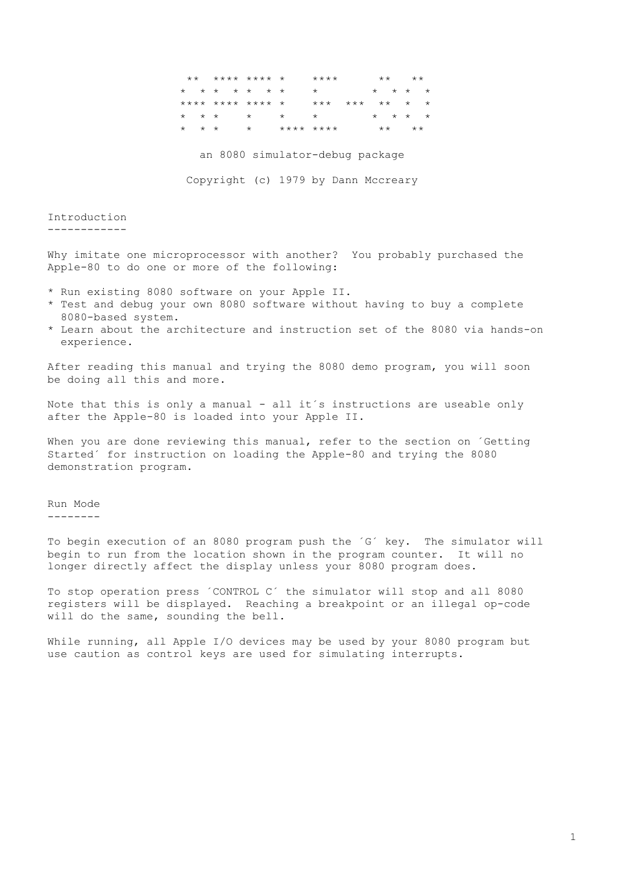|                         |  |                         | ** **** **** *   |         | $***$ * * * |  | $\star \star$ $\star \star$                 |  |                                 |  |
|-------------------------|--|-------------------------|------------------|---------|-------------|--|---------------------------------------------|--|---------------------------------|--|
|                         |  |                         | * * * * * * *    |         | $\star$     |  |                                             |  | $\star$ $\star$ $\star$ $\star$ |  |
|                         |  |                         | **** **** **** * |         | $***$       |  | $\star \star \star$ $\star$ $\star$ $\star$ |  |                                 |  |
|                         |  | $\star$ $\star$ $\star$ | $\star$          | $\star$ |             |  |                                             |  | $\star$ $\star$ $\star$ $\star$ |  |
| $\star$ $\star$ $\star$ |  |                         | $\star$          |         | **** ****   |  | $\star \star$                               |  | $\star \star$                   |  |

an 8080 simulator-debug package

Copyright (c) 1979 by Dann Mccreary

## Introduction

Why imitate one microprocessor with another? You probably purchased the Apple-80 to do one or more of the following:

- \* Run existing 8080 software on your Apple II.
- \* Test and debug your own 8080 software without having to buy a complete 8080-based system.
- \* Learn about the architecture and instruction set of the 8080 via hands-on experience.

After reading this manual and trying the 8080 demo program, you will soon be doing all this and more.

Note that this is only a manual - all it's instructions are useable only after the Apple-80 is loaded into your Apple II.

When you are done reviewing this manual, refer to the section on 'Getting Started' for instruction on loading the Apple-80 and trying the 8080 demonstration program.

Run Mode

--------

To begin execution of an 8080 program push the 'G' key. The simulator will begin to run from the location shown in the program counter. It will no longer directly affect the display unless your 8080 program does.

To stop operation press 'CONTROL C' the simulator will stop and all 8080 registers will be displayed. Reaching a breakpoint or an illegal op-code will do the same, sounding the bell.

While running, all Apple I/O devices may be used by your 8080 program but use caution as control keys are used for simulating interrupts.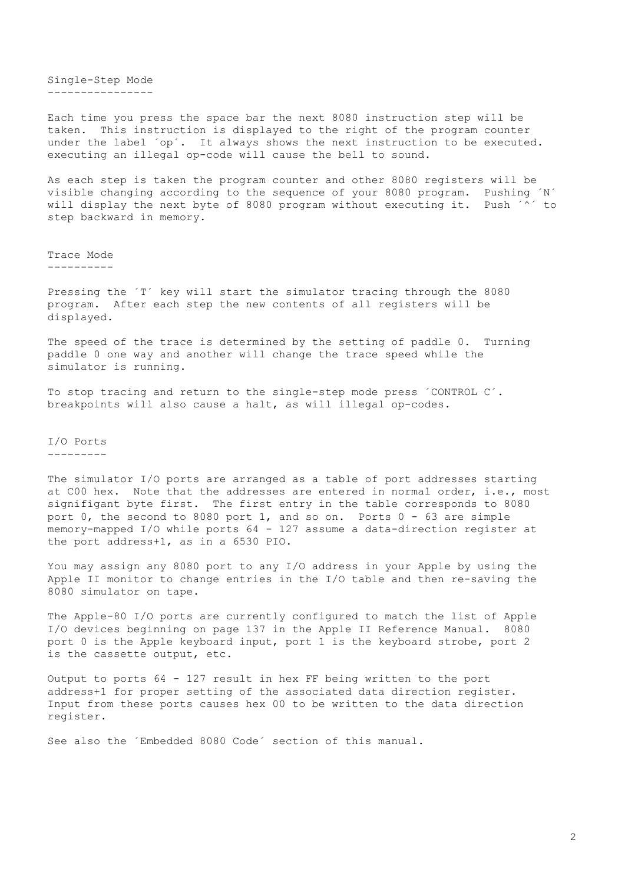Single-Step Mode ----------------

Each time you press the space bar the next 8080 instruction step will be taken. This instruction is displayed to the right of the program counter under the label 'op'. It always shows the next instruction to be executed. executing an illegal op-code will cause the bell to sound.

As each step is taken the program counter and other 8080 registers will be visible changing according to the sequence of your 8080 program. Pushing ´N´ will display the next byte of 8080 program without executing it. Push  $\sim$ step backward in memory.

Trace Mode

----------

Pressing the 'T' key will start the simulator tracing through the 8080 program. After each step the new contents of all registers will be displayed.

The speed of the trace is determined by the setting of paddle 0. Turning paddle 0 one way and another will change the trace speed while the simulator is running.

To stop tracing and return to the single-step mode press ´CONTROL C´. breakpoints will also cause a halt, as will illegal op-codes.

## I/O Ports ---------

The simulator I/O ports are arranged as a table of port addresses starting at C00 hex. Note that the addresses are entered in normal order, i.e., most signifigant byte first. The first entry in the table corresponds to 8080 port 0, the second to 8080 port 1, and so on. Ports 0 - 63 are simple memory-mapped I/O while ports 64 - 127 assume a data-direction register at the port address+1, as in a 6530 PIO.

You may assign any 8080 port to any I/O address in your Apple by using the Apple II monitor to change entries in the I/O table and then re-saving the 8080 simulator on tape.

The Apple-80 I/O ports are currently configured to match the list of Apple I/O devices beginning on page 137 in the Apple II Reference Manual. 8080 port 0 is the Apple keyboard input, port 1 is the keyboard strobe, port 2 is the cassette output, etc.

Output to ports 64 - 127 result in hex FF being written to the port address+1 for proper setting of the associated data direction register. Input from these ports causes hex 00 to be written to the data direction register.

See also the ´Embedded 8080 Code´ section of this manual.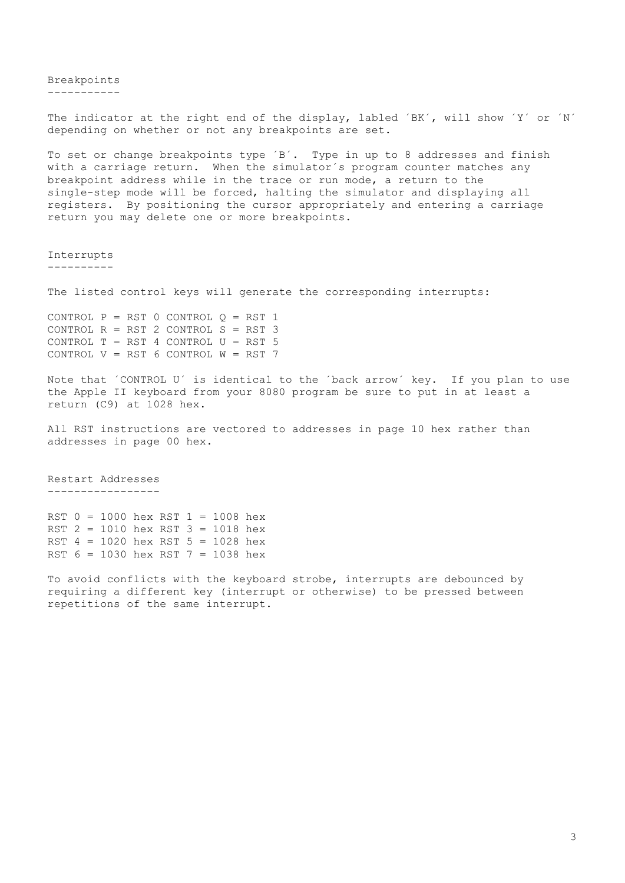Breakpoints -----------

The indicator at the right end of the display, labled 'BK', will show 'Y' or 'N' depending on whether or not any breakpoints are set.

To set or change breakpoints type ´B´. Type in up to 8 addresses and finish with a carriage return. When the simulator's program counter matches any breakpoint address while in the trace or run mode, a return to the single-step mode will be forced, halting the simulator and displaying all registers. By positioning the cursor appropriately and entering a carriage return you may delete one or more breakpoints.

Interrupts ----------

The listed control keys will generate the corresponding interrupts:

CONTROL  $P = RST$  0 CONTROL  $Q = RST$ CONTROL  $R = RST$  2 CONTROL  $S = RST$ CONTROL  $T = RST$  4 CONTROL  $U = RST$ CONTROL  $V = RST$  6 CONTROL  $W = RST$ 

Note that ´CONTROL U´ is identical to the ´back arrow´ key. If you plan to use the Apple II keyboard from your 8080 program be sure to put in at least a return (C9) at 1028 hex.

All RST instructions are vectored to addresses in page 10 hex rather than addresses in page 00 hex.

Restart Addresses -----------------

RST 0 = 1000 hex RST 1 = 1008 hex RST 2 = 1010 hex RST 3 = 1018 hex RST 4 = 1020 hex RST 5 = 1028 hex RST 6 = 1030 hex RST 7 = 1038 hex

To avoid conflicts with the keyboard strobe, interrupts are debounced by requiring a different key (interrupt or otherwise) to be pressed between repetitions of the same interrupt.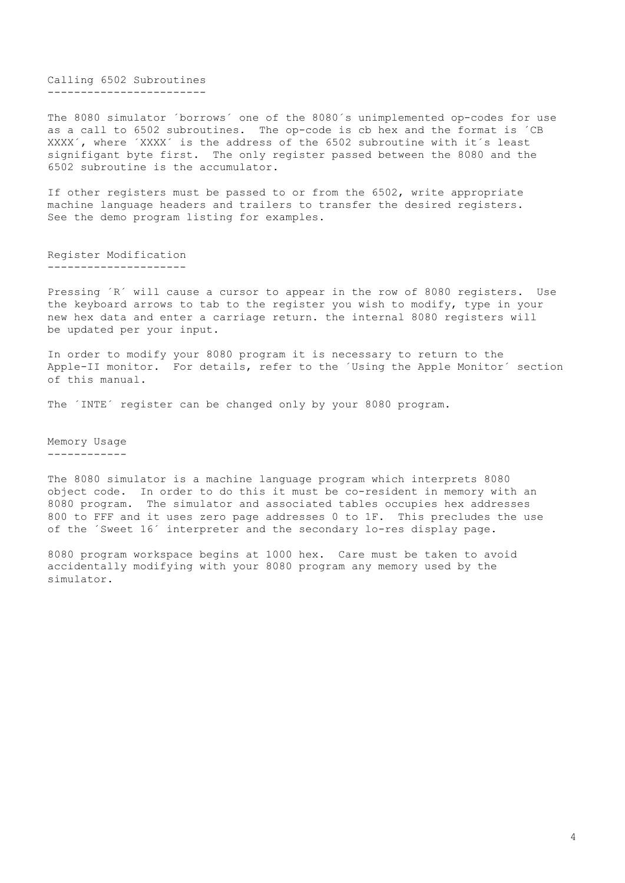Calling 6502 Subroutines ------------------------

The 8080 simulator ´borrows´ one of the 8080´s unimplemented op-codes for use as a call to 6502 subroutines. The op-code is cb hex and the format is ´CB XXXX´, where ´XXXX´ is the address of the 6502 subroutine with it´s least signifigant byte first. The only register passed between the 8080 and the 6502 subroutine is the accumulator.

If other registers must be passed to or from the 6502, write appropriate machine language headers and trailers to transfer the desired registers. See the demo program listing for examples.

Register Modification ---------------------

Pressing ´R´ will cause a cursor to appear in the row of 8080 registers. Use the keyboard arrows to tab to the register you wish to modify, type in your new hex data and enter a carriage return. the internal 8080 registers will be updated per your input.

In order to modify your 8080 program it is necessary to return to the Apple-II monitor. For details, refer to the ´Using the Apple Monitor´ section of this manual.

The 'INTE' register can be changed only by your 8080 program.

Memory Usage ------------

The 8080 simulator is a machine language program which interprets 8080 object code. In order to do this it must be co-resident in memory with an 8080 program. The simulator and associated tables occupies hex addresses 800 to FFF and it uses zero page addresses 0 to 1F. This precludes the use of the ´Sweet 16´ interpreter and the secondary lo-res display page.

8080 program workspace begins at 1000 hex. Care must be taken to avoid accidentally modifying with your 8080 program any memory used by the simulator.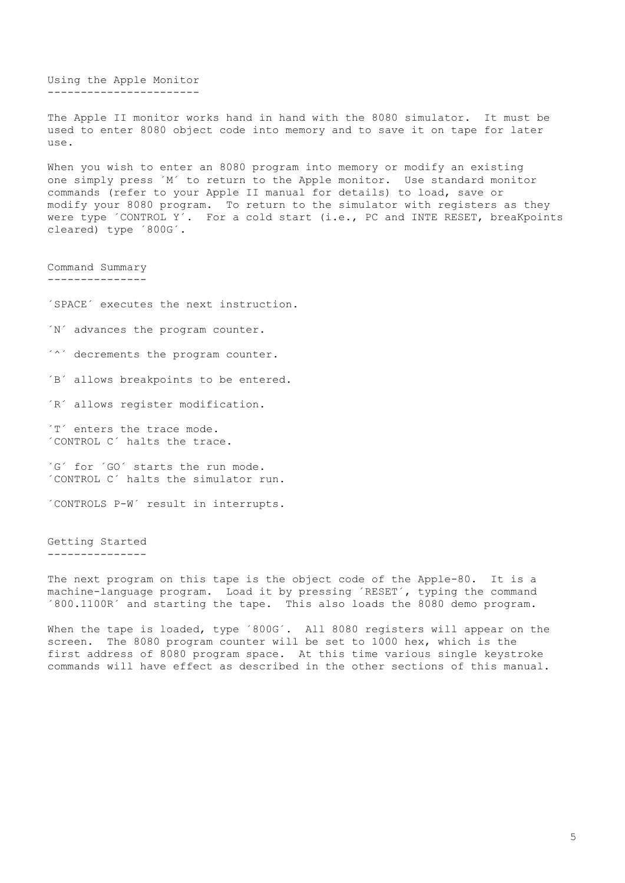Using the Apple Monitor -----------------------

The Apple II monitor works hand in hand with the 8080 simulator. It must be used to enter 8080 object code into memory and to save it on tape for later use.

When you wish to enter an 8080 program into memory or modify an existing one simply press ´M´ to return to the Apple monitor. Use standard monitor commands (refer to your Apple II manual for details) to load, save or modify your 8080 program. To return to the simulator with registers as they were type ´CONTROL Y'. For a cold start (i.e., PC and INTE RESET, breaKpoints cleared) type ´800G´.

Command Summary ---------------

´SPACE´ executes the next instruction.

´N´ advances the program counter.

´^´ decrements the program counter.

´B´ allows breakpoints to be entered.

´R´ allows register modification.

´T´ enters the trace mode. ´CONTROL C´ halts the trace.

´G´ for ´GO´ starts the run mode. ´CONTROL C´ halts the simulator run.

´CONTROLS P-W´ result in interrupts.

Getting Started ---------------

The next program on this tape is the object code of the Apple-80. It is a machine-language program. Load it by pressing ´RESET´, typing the command ´800.1100R´ and starting the tape. This also loads the 8080 demo program.

When the tape is loaded, type '800G'. All 8080 registers will appear on the screen. The 8080 program counter will be set to 1000 hex, which is the first address of 8080 program space. At this time various single keystroke commands will have effect as described in the other sections of this manual.